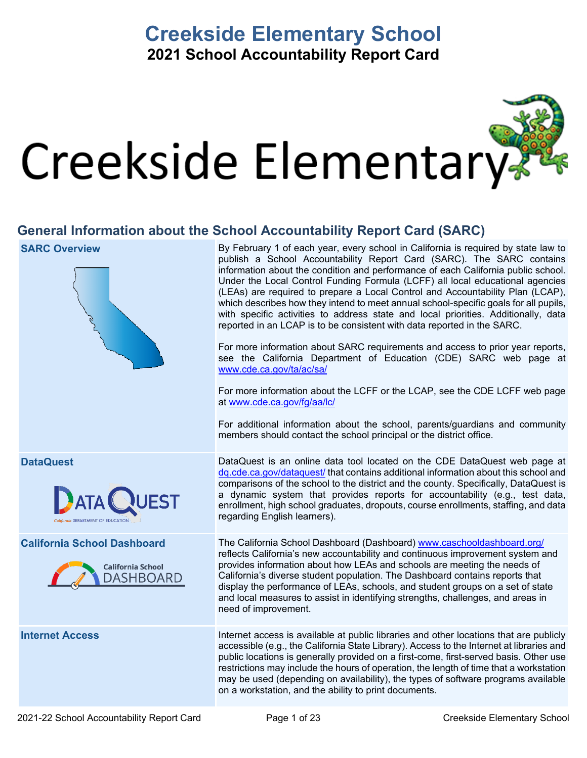# **Creekside Elementary School 2021 School Accountability Report Card**



## **General Information about the School Accountability Report Card (SARC)**

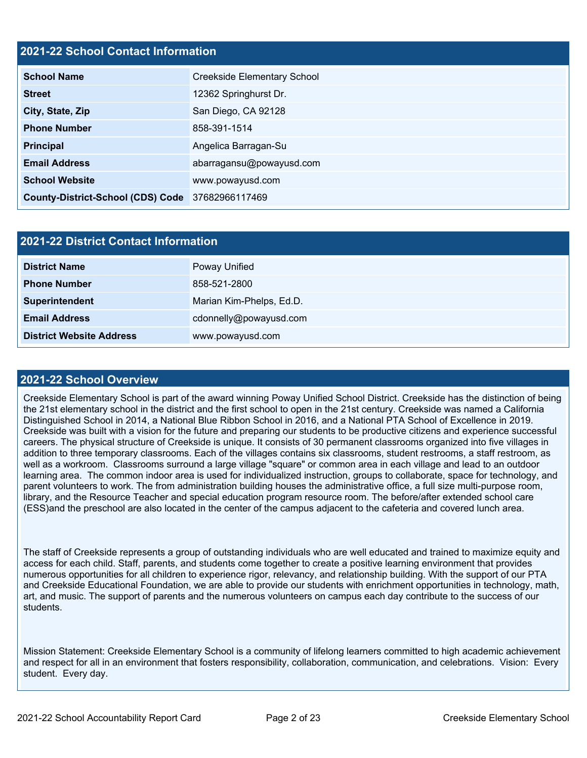### **2021-22 School Contact Information**

| <b>School Name</b>                               | <b>Creekside Elementary School</b> |  |  |  |
|--------------------------------------------------|------------------------------------|--|--|--|
| <b>Street</b>                                    | 12362 Springhurst Dr.              |  |  |  |
| City, State, Zip                                 | San Diego, CA 92128                |  |  |  |
| <b>Phone Number</b>                              | 858-391-1514                       |  |  |  |
| <b>Principal</b>                                 | Angelica Barragan-Su               |  |  |  |
| <b>Email Address</b>                             | abarragansu@powayusd.com           |  |  |  |
| <b>School Website</b>                            | www.powayusd.com                   |  |  |  |
| County-District-School (CDS) Code 37682966117469 |                                    |  |  |  |

| 2021-22 District Contact Information |                          |  |  |  |
|--------------------------------------|--------------------------|--|--|--|
| <b>District Name</b>                 | Poway Unified            |  |  |  |
| <b>Phone Number</b>                  | 858-521-2800             |  |  |  |
| Superintendent                       | Marian Kim-Phelps, Ed.D. |  |  |  |
| <b>Email Address</b>                 | cdonnelly@powayusd.com   |  |  |  |
| <b>District Website Address</b>      | www.powayusd.com         |  |  |  |

### **2021-22 School Overview**

Creekside Elementary School is part of the award winning Poway Unified School District. Creekside has the distinction of being the 21st elementary school in the district and the first school to open in the 21st century. Creekside was named a California Distinguished School in 2014, a National Blue Ribbon School in 2016, and a National PTA School of Excellence in 2019. Creekside was built with a vision for the future and preparing our students to be productive citizens and experience successful careers. The physical structure of Creekside is unique. It consists of 30 permanent classrooms organized into five villages in addition to three temporary classrooms. Each of the villages contains six classrooms, student restrooms, a staff restroom, as well as a workroom. Classrooms surround a large village "square" or common area in each village and lead to an outdoor learning area. The common indoor area is used for individualized instruction, groups to collaborate, space for technology, and parent volunteers to work. The from administration building houses the administrative office, a full size multi-purpose room, library, and the Resource Teacher and special education program resource room. The before/after extended school care (ESS)and the preschool are also located in the center of the campus adjacent to the cafeteria and covered lunch area.

The staff of Creekside represents a group of outstanding individuals who are well educated and trained to maximize equity and access for each child. Staff, parents, and students come together to create a positive learning environment that provides numerous opportunities for all children to experience rigor, relevancy, and relationship building. With the support of our PTA and Creekside Educational Foundation, we are able to provide our students with enrichment opportunities in technology, math, art, and music. The support of parents and the numerous volunteers on campus each day contribute to the success of our students.

Mission Statement: Creekside Elementary School is a community of lifelong learners committed to high academic achievement and respect for all in an environment that fosters responsibility, collaboration, communication, and celebrations. Vision: Every student. Every day.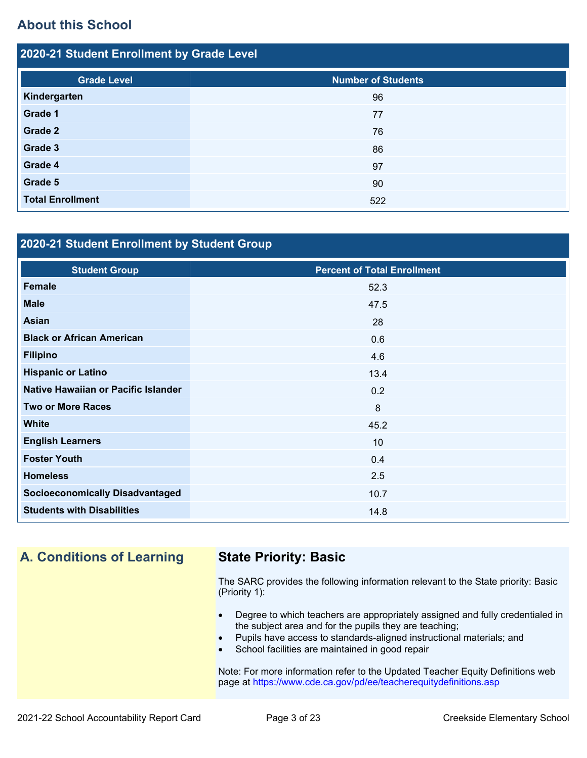## **About this School**

| 2020-21 Student Enrollment by Grade Level |                           |  |  |  |  |  |
|-------------------------------------------|---------------------------|--|--|--|--|--|
| <b>Grade Level</b>                        | <b>Number of Students</b> |  |  |  |  |  |
| Kindergarten                              | 96                        |  |  |  |  |  |
| Grade 1                                   | 77                        |  |  |  |  |  |
| <b>Grade 2</b>                            | 76                        |  |  |  |  |  |
| Grade 3                                   | 86                        |  |  |  |  |  |
| Grade 4                                   | 97                        |  |  |  |  |  |
| Grade 5                                   | 90                        |  |  |  |  |  |
| <b>Total Enrollment</b>                   | 522                       |  |  |  |  |  |

## **2020-21 Student Enrollment by Student Group**

| <b>Student Group</b>                   | <b>Percent of Total Enrollment</b> |
|----------------------------------------|------------------------------------|
| Female                                 | 52.3                               |
| <b>Male</b>                            | 47.5                               |
| <b>Asian</b>                           | 28                                 |
| <b>Black or African American</b>       | 0.6                                |
| <b>Filipino</b>                        | 4.6                                |
| <b>Hispanic or Latino</b>              | 13.4                               |
| Native Hawaiian or Pacific Islander    | 0.2                                |
| <b>Two or More Races</b>               | 8                                  |
| <b>White</b>                           | 45.2                               |
| <b>English Learners</b>                | 10                                 |
| <b>Foster Youth</b>                    | 0.4                                |
| <b>Homeless</b>                        | 2.5                                |
| <b>Socioeconomically Disadvantaged</b> | 10.7                               |
| <b>Students with Disabilities</b>      | 14.8                               |

## **A. Conditions of Learning State Priority: Basic**

The SARC provides the following information relevant to the State priority: Basic (Priority 1):

- Degree to which teachers are appropriately assigned and fully credentialed in the subject area and for the pupils they are teaching;
- Pupils have access to standards-aligned instructional materials; and
- School facilities are maintained in good repair

Note: For more information refer to the Updated Teacher Equity Definitions web page at<https://www.cde.ca.gov/pd/ee/teacherequitydefinitions.asp>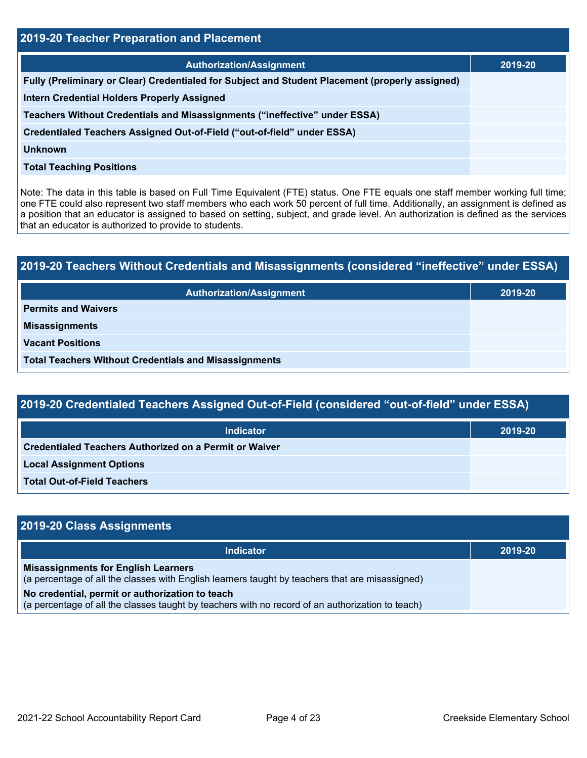| <b>2019-20 Teacher Preparation and Placement</b>                                                |         |  |  |  |  |
|-------------------------------------------------------------------------------------------------|---------|--|--|--|--|
| <b>Authorization/Assignment</b>                                                                 | 2019-20 |  |  |  |  |
| Fully (Preliminary or Clear) Credentialed for Subject and Student Placement (properly assigned) |         |  |  |  |  |
| <b>Intern Credential Holders Properly Assigned</b>                                              |         |  |  |  |  |
| Teachers Without Credentials and Misassignments ("ineffective" under ESSA)                      |         |  |  |  |  |
| Credentialed Teachers Assigned Out-of-Field ("out-of-field" under ESSA)                         |         |  |  |  |  |
| Unknown                                                                                         |         |  |  |  |  |
| <b>Total Teaching Positions</b>                                                                 |         |  |  |  |  |

Note: The data in this table is based on Full Time Equivalent (FTE) status. One FTE equals one staff member working full time; one FTE could also represent two staff members who each work 50 percent of full time. Additionally, an assignment is defined as a position that an educator is assigned to based on setting, subject, and grade level. An authorization is defined as the services that an educator is authorized to provide to students.

# **2019-20 Teachers Without Credentials and Misassignments (considered "ineffective" under ESSA) Authorization/Assignment 2019-20 Permits and Waivers Misassignments Vacant Positions Total Teachers Without Credentials and Misassignments**

| 2019-20 Credentialed Teachers Assigned Out-of-Field (considered "out-of-field" under ESSA) |         |  |  |  |  |
|--------------------------------------------------------------------------------------------|---------|--|--|--|--|
| <b>Indicator</b>                                                                           | 2019-20 |  |  |  |  |
| Credentialed Teachers Authorized on a Permit or Waiver                                     |         |  |  |  |  |
| <b>Local Assignment Options</b>                                                            |         |  |  |  |  |
| <b>Total Out-of-Field Teachers</b>                                                         |         |  |  |  |  |

| 2019-20 Class Assignments                                                                                                                           |         |
|-----------------------------------------------------------------------------------------------------------------------------------------------------|---------|
| <b>Indicator</b>                                                                                                                                    | 2019-20 |
| <b>Misassignments for English Learners</b><br>(a percentage of all the classes with English learners taught by teachers that are misassigned)       |         |
| No credential, permit or authorization to teach<br>(a percentage of all the classes taught by teachers with no record of an authorization to teach) |         |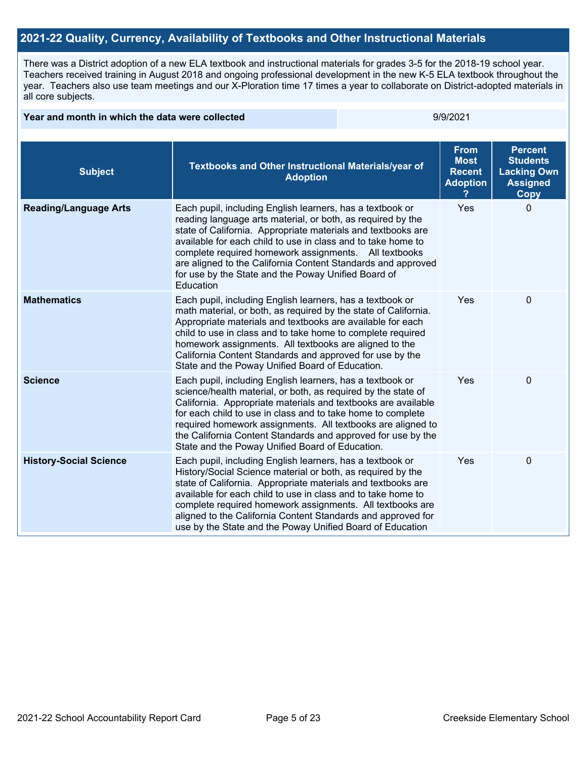## **2021-22 Quality, Currency, Availability of Textbooks and Other Instructional Materials**

There was a District adoption of a new ELA textbook and instructional materials for grades 3-5 for the 2018-19 school year. Teachers received training in August 2018 and ongoing professional development in the new K-5 ELA textbook throughout the year. Teachers also use team meetings and our X-Ploration time 17 times a year to collaborate on District-adopted materials in all core subjects.

#### **Year and month in which the data were collected example 2001 100 and 100 and 100 and 100 and 100 and 100 and 100 and 100 and 100 and 100 and 100 and 100 and 100 and 100 and 100 and 100 and 100 and 100 and 100 and 100 and**

| <b>Subject</b>                | <b>Textbooks and Other Instructional Materials/year of</b><br><b>Adoption</b>                                                                                                                                                                                                                                                                                                                                                                         | <b>From</b><br><b>Most</b><br><b>Recent</b><br><b>Adoption</b> | <b>Percent</b><br><b>Students</b><br><b>Lacking Own</b><br><b>Assigned</b><br>Copy |
|-------------------------------|-------------------------------------------------------------------------------------------------------------------------------------------------------------------------------------------------------------------------------------------------------------------------------------------------------------------------------------------------------------------------------------------------------------------------------------------------------|----------------------------------------------------------------|------------------------------------------------------------------------------------|
| <b>Reading/Language Arts</b>  | Each pupil, including English learners, has a textbook or<br>reading language arts material, or both, as required by the<br>state of California. Appropriate materials and textbooks are<br>available for each child to use in class and to take home to<br>complete required homework assignments. All textbooks<br>are aligned to the California Content Standards and approved<br>for use by the State and the Poway Unified Board of<br>Education | Yes                                                            | $\Omega$                                                                           |
| <b>Mathematics</b>            | Each pupil, including English learners, has a textbook or<br>math material, or both, as required by the state of California.<br>Appropriate materials and textbooks are available for each<br>child to use in class and to take home to complete required<br>homework assignments. All textbooks are aligned to the<br>California Content Standards and approved for use by the<br>State and the Poway Unified Board of Education.                    | Yes                                                            | 0                                                                                  |
| <b>Science</b>                | Each pupil, including English learners, has a textbook or<br>science/health material, or both, as required by the state of<br>California. Appropriate materials and textbooks are available<br>for each child to use in class and to take home to complete<br>required homework assignments. All textbooks are aligned to<br>the California Content Standards and approved for use by the<br>State and the Poway Unified Board of Education.          | Yes                                                            | 0                                                                                  |
| <b>History-Social Science</b> | Each pupil, including English learners, has a textbook or<br>History/Social Science material or both, as required by the<br>state of California. Appropriate materials and textbooks are<br>available for each child to use in class and to take home to<br>complete required homework assignments. All textbooks are<br>aligned to the California Content Standards and approved for<br>use by the State and the Poway Unified Board of Education    | Yes                                                            | 0                                                                                  |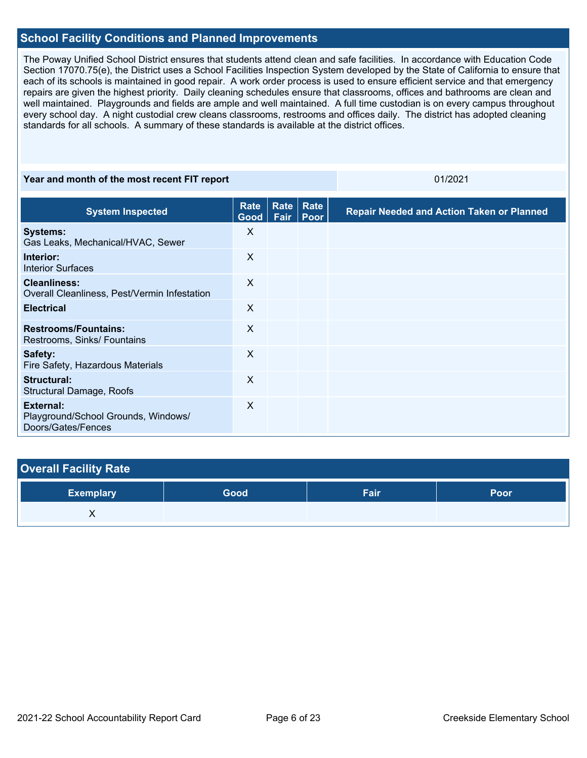## **School Facility Conditions and Planned Improvements**

The Poway Unified School District ensures that students attend clean and safe facilities. In accordance with Education Code Section 17070.75(e), the District uses a School Facilities Inspection System developed by the State of California to ensure that each of its schools is maintained in good repair. A work order process is used to ensure efficient service and that emergency repairs are given the highest priority. Daily cleaning schedules ensure that classrooms, offices and bathrooms are clean and well maintained. Playgrounds and fields are ample and well maintained. A full time custodian is on every campus throughout every school day. A night custodial crew cleans classrooms, restrooms and offices daily. The district has adopted cleaning standards for all schools. A summary of these standards is available at the district offices.

#### **Year and month of the most recent FIT report CONSERVIATES AND REPORT OF A 2021**

| <b>System Inspected</b>                                                | Rate<br>Good | Rate<br>Fair | Rate<br>Poor | <b>Repair Needed and Action Taken or Planned</b> |
|------------------------------------------------------------------------|--------------|--------------|--------------|--------------------------------------------------|
| <b>Systems:</b><br>Gas Leaks, Mechanical/HVAC, Sewer                   | X            |              |              |                                                  |
| Interior:<br><b>Interior Surfaces</b>                                  | X            |              |              |                                                  |
| <b>Cleanliness:</b><br>Overall Cleanliness, Pest/Vermin Infestation    | X            |              |              |                                                  |
| <b>Electrical</b>                                                      | X            |              |              |                                                  |
| <b>Restrooms/Fountains:</b><br>Restrooms, Sinks/ Fountains             | X            |              |              |                                                  |
| Safety:<br>Fire Safety, Hazardous Materials                            | X            |              |              |                                                  |
| Structural:<br>Structural Damage, Roofs                                | X            |              |              |                                                  |
| External:<br>Playground/School Grounds, Windows/<br>Doors/Gates/Fences | X            |              |              |                                                  |

## **Overall Facility Rate**

| <b>Exemplary</b> | Good | Fair | Poor |
|------------------|------|------|------|
| , ,              |      |      |      |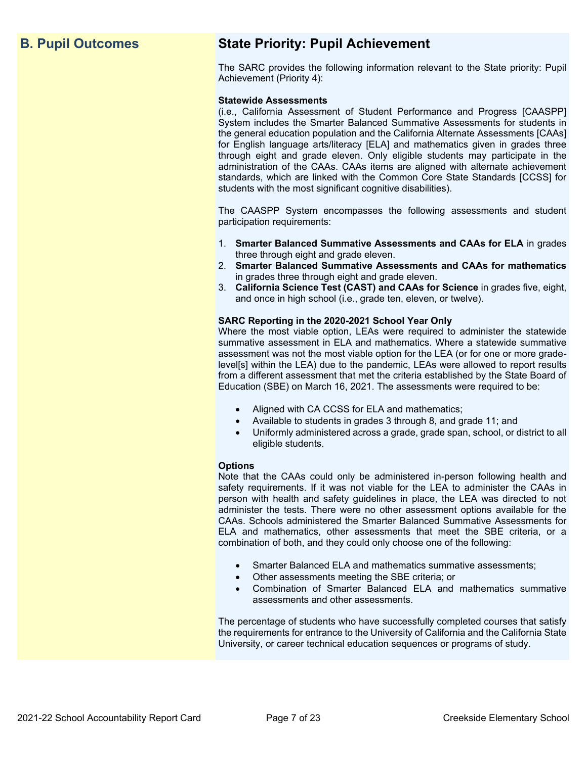## **B. Pupil Outcomes State Priority: Pupil Achievement**

The SARC provides the following information relevant to the State priority: Pupil Achievement (Priority 4):

#### **Statewide Assessments**

(i.e., California Assessment of Student Performance and Progress [CAASPP] System includes the Smarter Balanced Summative Assessments for students in the general education population and the California Alternate Assessments [CAAs] for English language arts/literacy [ELA] and mathematics given in grades three through eight and grade eleven. Only eligible students may participate in the administration of the CAAs. CAAs items are aligned with alternate achievement standards, which are linked with the Common Core State Standards [CCSS] for students with the most significant cognitive disabilities).

The CAASPP System encompasses the following assessments and student participation requirements:

- 1. **Smarter Balanced Summative Assessments and CAAs for ELA** in grades three through eight and grade eleven.
- 2. **Smarter Balanced Summative Assessments and CAAs for mathematics** in grades three through eight and grade eleven.
- 3. **California Science Test (CAST) and CAAs for Science** in grades five, eight, and once in high school (i.e., grade ten, eleven, or twelve).

#### **SARC Reporting in the 2020-2021 School Year Only**

Where the most viable option, LEAs were required to administer the statewide summative assessment in ELA and mathematics. Where a statewide summative assessment was not the most viable option for the LEA (or for one or more gradelevel[s] within the LEA) due to the pandemic, LEAs were allowed to report results from a different assessment that met the criteria established by the State Board of Education (SBE) on March 16, 2021. The assessments were required to be:

- Aligned with CA CCSS for ELA and mathematics;
- Available to students in grades 3 through 8, and grade 11; and
- Uniformly administered across a grade, grade span, school, or district to all eligible students.

#### **Options**

Note that the CAAs could only be administered in-person following health and safety requirements. If it was not viable for the LEA to administer the CAAs in person with health and safety guidelines in place, the LEA was directed to not administer the tests. There were no other assessment options available for the CAAs. Schools administered the Smarter Balanced Summative Assessments for ELA and mathematics, other assessments that meet the SBE criteria, or a combination of both, and they could only choose one of the following:

- Smarter Balanced ELA and mathematics summative assessments;
- Other assessments meeting the SBE criteria; or
- Combination of Smarter Balanced ELA and mathematics summative assessments and other assessments.

The percentage of students who have successfully completed courses that satisfy the requirements for entrance to the University of California and the California State University, or career technical education sequences or programs of study.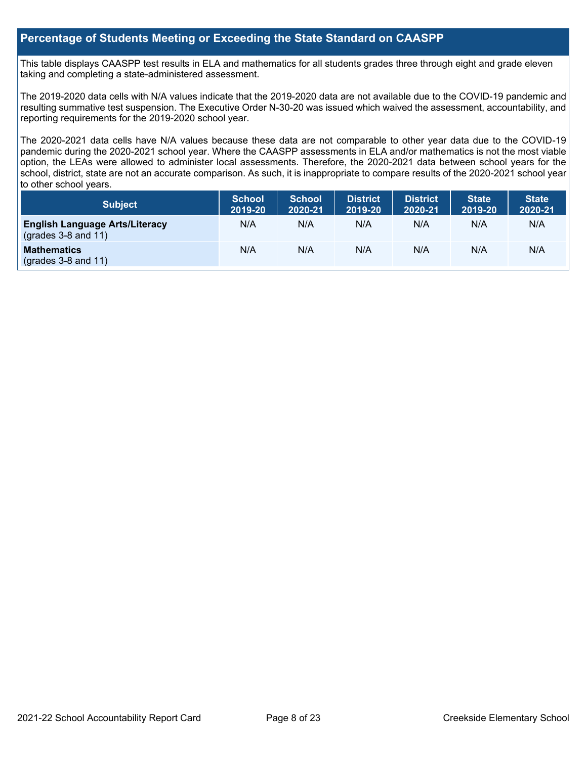## **Percentage of Students Meeting or Exceeding the State Standard on CAASPP**

This table displays CAASPP test results in ELA and mathematics for all students grades three through eight and grade eleven taking and completing a state-administered assessment.

The 2019-2020 data cells with N/A values indicate that the 2019-2020 data are not available due to the COVID-19 pandemic and resulting summative test suspension. The Executive Order N-30-20 was issued which waived the assessment, accountability, and reporting requirements for the 2019-2020 school year.

The 2020-2021 data cells have N/A values because these data are not comparable to other year data due to the COVID-19 pandemic during the 2020-2021 school year. Where the CAASPP assessments in ELA and/or mathematics is not the most viable option, the LEAs were allowed to administer local assessments. Therefore, the 2020-2021 data between school years for the school, district, state are not an accurate comparison. As such, it is inappropriate to compare results of the 2020-2021 school year to other school years.

| Subject                                                        | <b>School</b><br>2019-20 | <b>School</b><br>2020-21 | <b>District</b><br>2019-20 | <b>District</b><br>2020-21 | <b>State</b><br>2019-20 | <b>State</b><br>2020-21 |
|----------------------------------------------------------------|--------------------------|--------------------------|----------------------------|----------------------------|-------------------------|-------------------------|
| <b>English Language Arts/Literacy</b><br>$(grades 3-8 and 11)$ | N/A                      | N/A                      | N/A                        | N/A                        | N/A                     | N/A                     |
| <b>Mathematics</b><br>$($ grades 3-8 and 11 $)$                | N/A                      | N/A                      | N/A                        | N/A                        | N/A                     | N/A                     |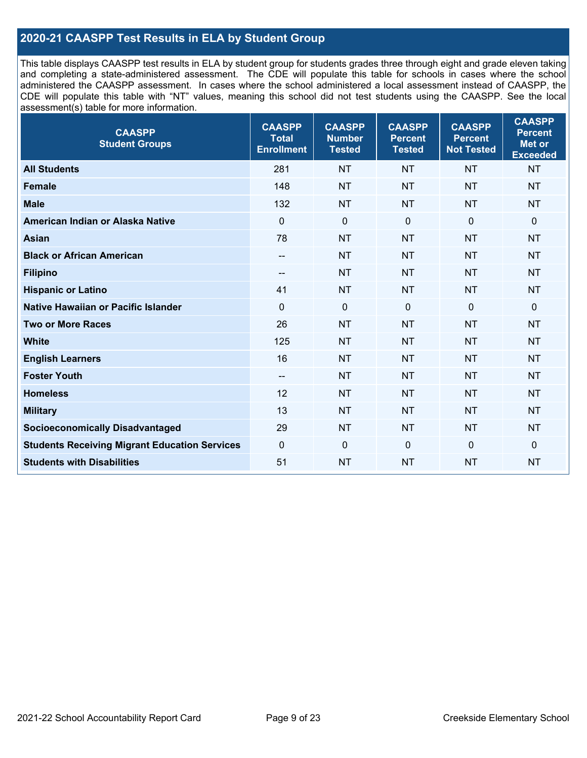## **2020-21 CAASPP Test Results in ELA by Student Group**

This table displays CAASPP test results in ELA by student group for students grades three through eight and grade eleven taking and completing a state-administered assessment. The CDE will populate this table for schools in cases where the school administered the CAASPP assessment. In cases where the school administered a local assessment instead of CAASPP, the CDE will populate this table with "NT" values, meaning this school did not test students using the CAASPP. See the local assessment(s) table for more information.

| <b>CAASPP</b><br><b>Student Groups</b>               | <b>CAASPP</b><br><b>Total</b><br><b>Enrollment</b> | <b>CAASPP</b><br><b>Number</b><br><b>Tested</b> | <b>CAASPP</b><br><b>Percent</b><br><b>Tested</b> | <b>CAASPP</b><br><b>Percent</b><br><b>Not Tested</b> | <b>CAASPP</b><br><b>Percent</b><br><b>Met or</b><br><b>Exceeded</b> |
|------------------------------------------------------|----------------------------------------------------|-------------------------------------------------|--------------------------------------------------|------------------------------------------------------|---------------------------------------------------------------------|
| <b>All Students</b>                                  | 281                                                | <b>NT</b>                                       | <b>NT</b>                                        | <b>NT</b>                                            | <b>NT</b>                                                           |
| <b>Female</b>                                        | 148                                                | <b>NT</b>                                       | <b>NT</b>                                        | <b>NT</b>                                            | <b>NT</b>                                                           |
| <b>Male</b>                                          | 132                                                | <b>NT</b>                                       | <b>NT</b>                                        | <b>NT</b>                                            | <b>NT</b>                                                           |
| American Indian or Alaska Native                     | $\mathbf 0$                                        | $\mathbf 0$                                     | $\mathbf 0$                                      | $\mathbf 0$                                          | $\mathbf 0$                                                         |
| <b>Asian</b>                                         | 78                                                 | <b>NT</b>                                       | <b>NT</b>                                        | <b>NT</b>                                            | <b>NT</b>                                                           |
| <b>Black or African American</b>                     | $\overline{\phantom{a}}$                           | <b>NT</b>                                       | <b>NT</b>                                        | <b>NT</b>                                            | <b>NT</b>                                                           |
| <b>Filipino</b>                                      | --                                                 | <b>NT</b>                                       | <b>NT</b>                                        | <b>NT</b>                                            | <b>NT</b>                                                           |
| <b>Hispanic or Latino</b>                            | 41                                                 | <b>NT</b>                                       | <b>NT</b>                                        | <b>NT</b>                                            | <b>NT</b>                                                           |
| Native Hawaiian or Pacific Islander                  | $\Omega$                                           | $\mathbf 0$                                     | $\mathbf 0$                                      | $\mathbf 0$                                          | 0                                                                   |
| <b>Two or More Races</b>                             | 26                                                 | <b>NT</b>                                       | <b>NT</b>                                        | <b>NT</b>                                            | <b>NT</b>                                                           |
| <b>White</b>                                         | 125                                                | <b>NT</b>                                       | <b>NT</b>                                        | <b>NT</b>                                            | <b>NT</b>                                                           |
| <b>English Learners</b>                              | 16                                                 | NT                                              | <b>NT</b>                                        | <b>NT</b>                                            | <b>NT</b>                                                           |
| <b>Foster Youth</b>                                  | $-$                                                | <b>NT</b>                                       | <b>NT</b>                                        | <b>NT</b>                                            | <b>NT</b>                                                           |
| <b>Homeless</b>                                      | 12                                                 | <b>NT</b>                                       | <b>NT</b>                                        | <b>NT</b>                                            | <b>NT</b>                                                           |
| <b>Military</b>                                      | 13                                                 | <b>NT</b>                                       | <b>NT</b>                                        | <b>NT</b>                                            | <b>NT</b>                                                           |
| <b>Socioeconomically Disadvantaged</b>               | 29                                                 | <b>NT</b>                                       | <b>NT</b>                                        | <b>NT</b>                                            | <b>NT</b>                                                           |
| <b>Students Receiving Migrant Education Services</b> | $\mathbf 0$                                        | $\mathbf 0$                                     | $\Omega$                                         | $\mathbf 0$                                          | $\Omega$                                                            |
| <b>Students with Disabilities</b>                    | 51                                                 | <b>NT</b>                                       | <b>NT</b>                                        | <b>NT</b>                                            | <b>NT</b>                                                           |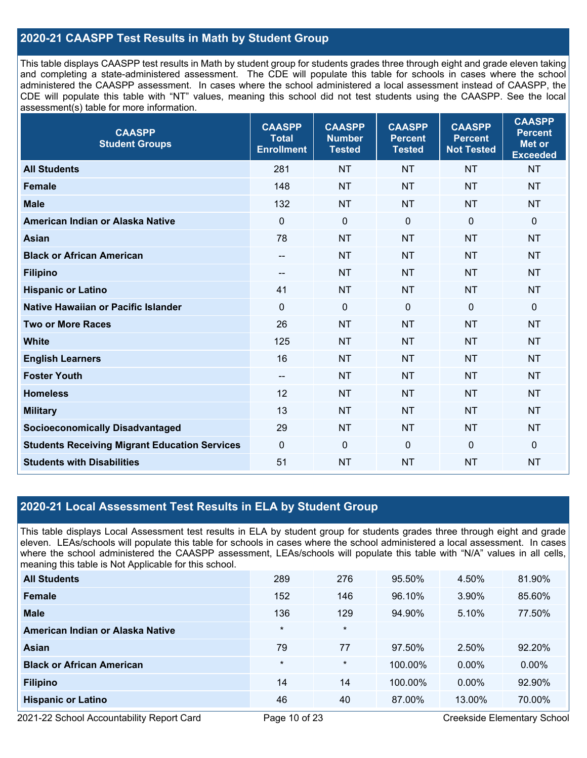## **2020-21 CAASPP Test Results in Math by Student Group**

This table displays CAASPP test results in Math by student group for students grades three through eight and grade eleven taking and completing a state-administered assessment. The CDE will populate this table for schools in cases where the school administered the CAASPP assessment. In cases where the school administered a local assessment instead of CAASPP, the CDE will populate this table with "NT" values, meaning this school did not test students using the CAASPP. See the local assessment(s) table for more information.

| <b>CAASPP</b><br><b>Student Groups</b>               | <b>CAASPP</b><br><b>Total</b><br><b>Enrollment</b> | <b>CAASPP</b><br><b>Number</b><br><b>Tested</b> | <b>CAASPP</b><br><b>Percent</b><br><b>Tested</b> | <b>CAASPP</b><br><b>Percent</b><br><b>Not Tested</b> | <b>CAASPP</b><br><b>Percent</b><br><b>Met or</b><br><b>Exceeded</b> |
|------------------------------------------------------|----------------------------------------------------|-------------------------------------------------|--------------------------------------------------|------------------------------------------------------|---------------------------------------------------------------------|
| <b>All Students</b>                                  | 281                                                | <b>NT</b>                                       | <b>NT</b>                                        | <b>NT</b>                                            | <b>NT</b>                                                           |
| <b>Female</b>                                        | 148                                                | <b>NT</b>                                       | <b>NT</b>                                        | <b>NT</b>                                            | <b>NT</b>                                                           |
| <b>Male</b>                                          | 132                                                | <b>NT</b>                                       | <b>NT</b>                                        | <b>NT</b>                                            | <b>NT</b>                                                           |
| American Indian or Alaska Native                     | $\mathbf 0$                                        | $\boldsymbol{0}$                                | $\mathbf 0$                                      | $\overline{0}$                                       | $\mathbf 0$                                                         |
| <b>Asian</b>                                         | 78                                                 | <b>NT</b>                                       | <b>NT</b>                                        | <b>NT</b>                                            | <b>NT</b>                                                           |
| <b>Black or African American</b>                     | $\hspace{0.05cm}$ – $\hspace{0.05cm}$              | <b>NT</b>                                       | <b>NT</b>                                        | <b>NT</b>                                            | <b>NT</b>                                                           |
| <b>Filipino</b>                                      | $\hspace{0.05cm}$ – $\hspace{0.05cm}$              | <b>NT</b>                                       | <b>NT</b>                                        | <b>NT</b>                                            | <b>NT</b>                                                           |
| <b>Hispanic or Latino</b>                            | 41                                                 | <b>NT</b>                                       | <b>NT</b>                                        | <b>NT</b>                                            | <b>NT</b>                                                           |
| Native Hawaiian or Pacific Islander                  | $\mathbf 0$                                        | $\mathbf 0$                                     | $\mathbf 0$                                      | $\overline{0}$                                       | $\Omega$                                                            |
| <b>Two or More Races</b>                             | 26                                                 | <b>NT</b>                                       | <b>NT</b>                                        | <b>NT</b>                                            | <b>NT</b>                                                           |
| <b>White</b>                                         | 125                                                | <b>NT</b>                                       | <b>NT</b>                                        | <b>NT</b>                                            | <b>NT</b>                                                           |
| <b>English Learners</b>                              | 16                                                 | <b>NT</b>                                       | <b>NT</b>                                        | <b>NT</b>                                            | <b>NT</b>                                                           |
| <b>Foster Youth</b>                                  | $\overline{\phantom{a}}$                           | <b>NT</b>                                       | <b>NT</b>                                        | <b>NT</b>                                            | <b>NT</b>                                                           |
| <b>Homeless</b>                                      | 12                                                 | <b>NT</b>                                       | <b>NT</b>                                        | <b>NT</b>                                            | <b>NT</b>                                                           |
| <b>Military</b>                                      | 13                                                 | <b>NT</b>                                       | <b>NT</b>                                        | <b>NT</b>                                            | <b>NT</b>                                                           |
| <b>Socioeconomically Disadvantaged</b>               | 29                                                 | <b>NT</b>                                       | <b>NT</b>                                        | <b>NT</b>                                            | <b>NT</b>                                                           |
| <b>Students Receiving Migrant Education Services</b> | $\overline{0}$                                     | $\mathbf 0$                                     | $\mathbf{0}$                                     | $\mathbf 0$                                          | $\mathbf 0$                                                         |
| <b>Students with Disabilities</b>                    | 51                                                 | <b>NT</b>                                       | <b>NT</b>                                        | <b>NT</b>                                            | <b>NT</b>                                                           |

## **2020-21 Local Assessment Test Results in ELA by Student Group**

This table displays Local Assessment test results in ELA by student group for students grades three through eight and grade eleven. LEAs/schools will populate this table for schools in cases where the school administered a local assessment. In cases where the school administered the CAASPP assessment, LEAs/schools will populate this table with "N/A" values in all cells, meaning this table is Not Applicable for this school.

| <b>All Students</b>              | 289     | 276     | 95.50%  | 4.50%    | 81.90%   |
|----------------------------------|---------|---------|---------|----------|----------|
| Female                           | 152     | 146     | 96.10%  | 3.90%    | 85.60%   |
| <b>Male</b>                      | 136     | 129     | 94.90%  | 5.10%    | 77.50%   |
| American Indian or Alaska Native | $\star$ | $\star$ |         |          |          |
| Asian                            | 79      | 77      | 97.50%  | 2.50%    | 92.20%   |
| <b>Black or African American</b> | $\star$ | $\ast$  | 100.00% | $0.00\%$ | $0.00\%$ |
| <b>Filipino</b>                  | 14      | 14      | 100.00% | $0.00\%$ | 92.90%   |
| <b>Hispanic or Latino</b>        | 46      | 40      | 87.00%  | 13.00%   | 70.00%   |

2021-22 School Accountability Report Card **Page 10 of 23** Creekside Elementary School **Page 10** of 23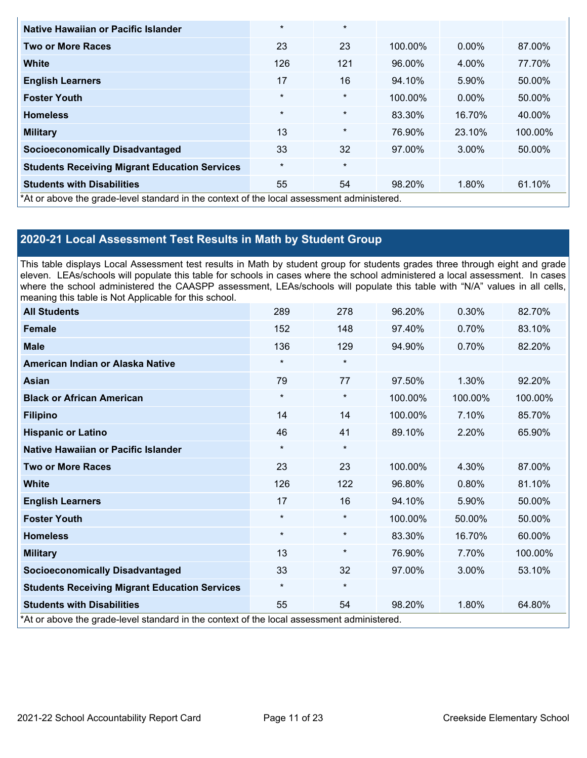| Native Hawaiian or Pacific Islander                                                        | $\star$ | $\star$ |         |          |         |
|--------------------------------------------------------------------------------------------|---------|---------|---------|----------|---------|
| <b>Two or More Races</b>                                                                   | 23      | 23      | 100.00% | $0.00\%$ | 87.00%  |
| <b>White</b>                                                                               | 126     | 121     | 96.00%  | 4.00%    | 77.70%  |
| <b>English Learners</b>                                                                    | 17      | 16      | 94.10%  | 5.90%    | 50.00%  |
| <b>Foster Youth</b>                                                                        | $\star$ | $\star$ | 100.00% | $0.00\%$ | 50.00%  |
| <b>Homeless</b>                                                                            | $\star$ | $\star$ | 83.30%  | 16.70%   | 40.00%  |
| <b>Military</b>                                                                            | 13      | $\star$ | 76.90%  | 23.10%   | 100.00% |
| <b>Socioeconomically Disadvantaged</b>                                                     | 33      | 32      | 97.00%  | 3.00%    | 50.00%  |
| <b>Students Receiving Migrant Education Services</b>                                       | $\star$ | $\star$ |         |          |         |
| <b>Students with Disabilities</b>                                                          | 55      | 54      | 98.20%  | 1.80%    | 61.10%  |
| *At or above the grade-level standard in the context of the local assessment administered. |         |         |         |          |         |

## **2020-21 Local Assessment Test Results in Math by Student Group**

This table displays Local Assessment test results in Math by student group for students grades three through eight and grade eleven. LEAs/schools will populate this table for schools in cases where the school administered a local assessment. In cases where the school administered the CAASPP assessment, LEAs/schools will populate this table with "N/A" values in all cells, meaning this table is Not Applicable for this school.

| <b>All Students</b>                                                                        | 289     | 278     | 96.20%  | 0.30%   | 82.70%  |
|--------------------------------------------------------------------------------------------|---------|---------|---------|---------|---------|
| <b>Female</b>                                                                              | 152     | 148     | 97.40%  | 0.70%   | 83.10%  |
| <b>Male</b>                                                                                | 136     | 129     | 94.90%  | 0.70%   | 82.20%  |
| American Indian or Alaska Native                                                           | $\star$ | $\star$ |         |         |         |
| <b>Asian</b>                                                                               | 79      | 77      | 97.50%  | 1.30%   | 92.20%  |
| <b>Black or African American</b>                                                           | $\star$ | $\star$ | 100.00% | 100.00% | 100.00% |
| <b>Filipino</b>                                                                            | 14      | 14      | 100.00% | 7.10%   | 85.70%  |
| <b>Hispanic or Latino</b>                                                                  | 46      | 41      | 89.10%  | 2.20%   | 65.90%  |
| Native Hawaiian or Pacific Islander                                                        | $\star$ | $\star$ |         |         |         |
| <b>Two or More Races</b>                                                                   | 23      | 23      | 100.00% | 4.30%   | 87.00%  |
| <b>White</b>                                                                               | 126     | 122     | 96.80%  | 0.80%   | 81.10%  |
| <b>English Learners</b>                                                                    | 17      | 16      | 94.10%  | 5.90%   | 50.00%  |
| <b>Foster Youth</b>                                                                        | $\star$ | $\star$ | 100.00% | 50.00%  | 50.00%  |
| <b>Homeless</b>                                                                            | $\star$ | $\star$ | 83.30%  | 16.70%  | 60.00%  |
| <b>Military</b>                                                                            | 13      | $\star$ | 76.90%  | 7.70%   | 100.00% |
| <b>Socioeconomically Disadvantaged</b>                                                     | 33      | 32      | 97.00%  | 3.00%   | 53.10%  |
| <b>Students Receiving Migrant Education Services</b>                                       | $\star$ | $\star$ |         |         |         |
| <b>Students with Disabilities</b>                                                          | 55      | 54      | 98.20%  | 1.80%   | 64.80%  |
| *At or above the grade-level standard in the context of the local assessment administered. |         |         |         |         |         |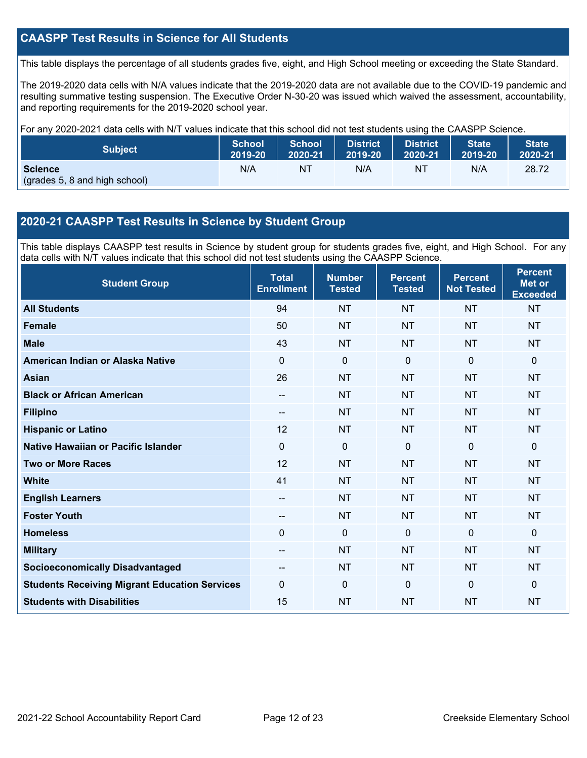## **CAASPP Test Results in Science for All Students**

This table displays the percentage of all students grades five, eight, and High School meeting or exceeding the State Standard.

The 2019-2020 data cells with N/A values indicate that the 2019-2020 data are not available due to the COVID-19 pandemic and resulting summative testing suspension. The Executive Order N-30-20 was issued which waived the assessment, accountability, and reporting requirements for the 2019-2020 school year.

For any 2020-2021 data cells with N/T values indicate that this school did not test students using the CAASPP Science.

| <b>Subject</b>                                  | <b>School</b> | School  | <b>District</b> | <b>District</b> | <b>State</b> | <b>State</b> |
|-------------------------------------------------|---------------|---------|-----------------|-----------------|--------------|--------------|
|                                                 | 2019-20       | 2020-21 | 2019-20         | 2020-21         | 2019-20      | 2020-21      |
| <b>Science</b><br>(grades 5, 8 and high school) | N/A           | ΝT      | N/A             | ΝT              | N/A          | 28.72        |

## **2020-21 CAASPP Test Results in Science by Student Group**

This table displays CAASPP test results in Science by student group for students grades five, eight, and High School. For any data cells with N/T values indicate that this school did not test students using the CAASPP Science.

| <b>Student Group</b>                                 | <b>Total</b><br><b>Enrollment</b> | <b>Number</b><br><b>Tested</b> | <b>Percent</b><br><b>Tested</b> | <b>Percent</b><br><b>Not Tested</b> | <b>Percent</b><br><b>Met or</b><br><b>Exceeded</b> |
|------------------------------------------------------|-----------------------------------|--------------------------------|---------------------------------|-------------------------------------|----------------------------------------------------|
| <b>All Students</b>                                  | 94                                | <b>NT</b>                      | <b>NT</b>                       | <b>NT</b>                           | <b>NT</b>                                          |
| Female                                               | 50                                | <b>NT</b>                      | <b>NT</b>                       | <b>NT</b>                           | <b>NT</b>                                          |
| <b>Male</b>                                          | 43                                | <b>NT</b>                      | <b>NT</b>                       | <b>NT</b>                           | <b>NT</b>                                          |
| American Indian or Alaska Native                     | 0                                 | 0                              | $\mathbf{0}$                    | $\mathbf{0}$                        | $\mathbf{0}$                                       |
| <b>Asian</b>                                         | 26                                | <b>NT</b>                      | <b>NT</b>                       | <b>NT</b>                           | <b>NT</b>                                          |
| <b>Black or African American</b>                     | --                                | <b>NT</b>                      | <b>NT</b>                       | <b>NT</b>                           | <b>NT</b>                                          |
| <b>Filipino</b>                                      | --                                | <b>NT</b>                      | <b>NT</b>                       | <b>NT</b>                           | <b>NT</b>                                          |
| <b>Hispanic or Latino</b>                            | 12                                | <b>NT</b>                      | <b>NT</b>                       | <b>NT</b>                           | <b>NT</b>                                          |
| Native Hawaiian or Pacific Islander                  | $\overline{0}$                    | $\mathbf 0$                    | $\mathbf{0}$                    | $\overline{0}$                      | $\mathbf 0$                                        |
| <b>Two or More Races</b>                             | 12                                | <b>NT</b>                      | <b>NT</b>                       | <b>NT</b>                           | <b>NT</b>                                          |
| <b>White</b>                                         | 41                                | <b>NT</b>                      | <b>NT</b>                       | <b>NT</b>                           | <b>NT</b>                                          |
| <b>English Learners</b>                              | --                                | <b>NT</b>                      | <b>NT</b>                       | <b>NT</b>                           | <b>NT</b>                                          |
| <b>Foster Youth</b>                                  | --                                | <b>NT</b>                      | <b>NT</b>                       | <b>NT</b>                           | <b>NT</b>                                          |
| <b>Homeless</b>                                      | $\Omega$                          | $\mathbf 0$                    | $\mathbf{0}$                    | $\mathbf 0$                         | $\mathbf 0$                                        |
| <b>Military</b>                                      | --                                | <b>NT</b>                      | <b>NT</b>                       | <b>NT</b>                           | <b>NT</b>                                          |
| <b>Socioeconomically Disadvantaged</b>               |                                   | <b>NT</b>                      | <b>NT</b>                       | <b>NT</b>                           | <b>NT</b>                                          |
| <b>Students Receiving Migrant Education Services</b> | $\Omega$                          | $\mathbf 0$                    | $\Omega$                        | $\Omega$                            | $\Omega$                                           |
| <b>Students with Disabilities</b>                    | 15                                | <b>NT</b>                      | <b>NT</b>                       | <b>NT</b>                           | <b>NT</b>                                          |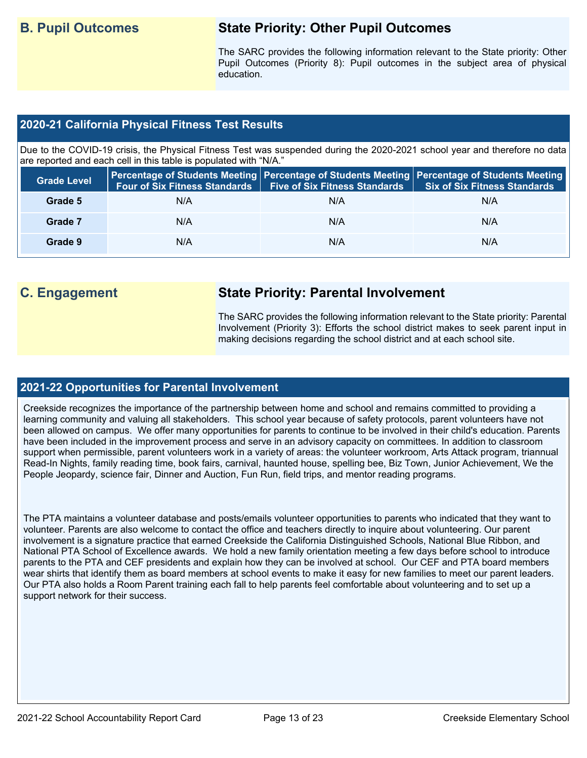## **B. Pupil Outcomes State Priority: Other Pupil Outcomes**

The SARC provides the following information relevant to the State priority: Other Pupil Outcomes (Priority 8): Pupil outcomes in the subject area of physical education.

## **2020-21 California Physical Fitness Test Results**

Due to the COVID-19 crisis, the Physical Fitness Test was suspended during the 2020-2021 school year and therefore no data are reported and each cell in this table is populated with "N/A."

| <b>Grade Level</b> | <b>Four of Six Fitness Standards</b> | Five of Six Fitness Standards   Six of Six Fitness Standards | Percentage of Students Meeting   Percentage of Students Meeting   Percentage of Students Meeting |
|--------------------|--------------------------------------|--------------------------------------------------------------|--------------------------------------------------------------------------------------------------|
| Grade 5            | N/A                                  | N/A                                                          | N/A                                                                                              |
| Grade 7            | N/A                                  | N/A                                                          | N/A                                                                                              |
| Grade 9            | N/A                                  | N/A                                                          | N/A                                                                                              |

## **C. Engagement State Priority: Parental Involvement**

The SARC provides the following information relevant to the State priority: Parental Involvement (Priority 3): Efforts the school district makes to seek parent input in making decisions regarding the school district and at each school site.

### **2021-22 Opportunities for Parental Involvement**

Creekside recognizes the importance of the partnership between home and school and remains committed to providing a learning community and valuing all stakeholders. This school year because of safety protocols, parent volunteers have not been allowed on campus. We offer many opportunities for parents to continue to be involved in their child's education. Parents have been included in the improvement process and serve in an advisory capacity on committees. In addition to classroom support when permissible, parent volunteers work in a variety of areas: the volunteer workroom, Arts Attack program, triannual Read-In Nights, family reading time, book fairs, carnival, haunted house, spelling bee, Biz Town, Junior Achievement, We the People Jeopardy, science fair, Dinner and Auction, Fun Run, field trips, and mentor reading programs.

The PTA maintains a volunteer database and posts/emails volunteer opportunities to parents who indicated that they want to volunteer. Parents are also welcome to contact the office and teachers directly to inquire about volunteering. Our parent involvement is a signature practice that earned Creekside the California Distinguished Schools, National Blue Ribbon, and National PTA School of Excellence awards. We hold a new family orientation meeting a few days before school to introduce parents to the PTA and CEF presidents and explain how they can be involved at school. Our CEF and PTA board members wear shirts that identify them as board members at school events to make it easy for new families to meet our parent leaders. Our PTA also holds a Room Parent training each fall to help parents feel comfortable about volunteering and to set up a support network for their success.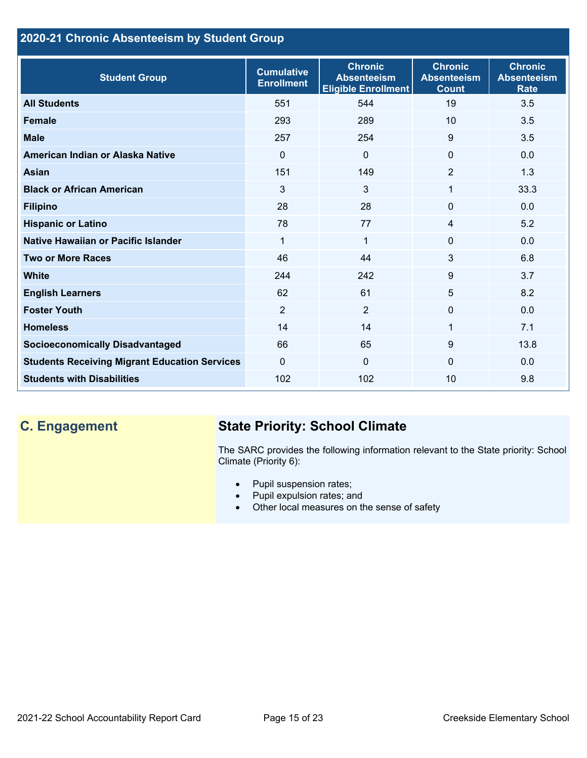## **2020-21 Chronic Absenteeism by Student Group**

| <b>Student Group</b>                                 | <b>Cumulative</b><br><b>Enrollment</b> | <b>Chronic</b><br><b>Absenteeism</b><br><b>Eligible Enrollment</b> | <b>Chronic</b><br><b>Absenteeism</b><br><b>Count</b> | <b>Chronic</b><br><b>Absenteeism</b><br><b>Rate</b> |
|------------------------------------------------------|----------------------------------------|--------------------------------------------------------------------|------------------------------------------------------|-----------------------------------------------------|
| <b>All Students</b>                                  | 551                                    | 544                                                                | 19                                                   | 3.5                                                 |
| <b>Female</b>                                        | 293                                    | 289                                                                | 10                                                   | 3.5                                                 |
| <b>Male</b>                                          | 257                                    | 254                                                                | 9                                                    | 3.5                                                 |
| American Indian or Alaska Native                     | $\Omega$                               | $\Omega$                                                           | $\mathbf{0}$                                         | 0.0                                                 |
| <b>Asian</b>                                         | 151                                    | 149                                                                | $\overline{2}$                                       | 1.3                                                 |
| <b>Black or African American</b>                     | 3                                      | 3                                                                  | 1                                                    | 33.3                                                |
| <b>Filipino</b>                                      | 28                                     | 28                                                                 | $\mathbf{0}$                                         | 0.0                                                 |
| <b>Hispanic or Latino</b>                            | 78                                     | 77                                                                 | 4                                                    | 5.2                                                 |
| <b>Native Hawaiian or Pacific Islander</b>           | 1                                      | 1                                                                  | $\mathbf{0}$                                         | 0.0                                                 |
| <b>Two or More Races</b>                             | 46                                     | 44                                                                 | 3                                                    | 6.8                                                 |
| <b>White</b>                                         | 244                                    | 242                                                                | 9                                                    | 3.7                                                 |
| <b>English Learners</b>                              | 62                                     | 61                                                                 | 5                                                    | 8.2                                                 |
| <b>Foster Youth</b>                                  | $\overline{2}$                         | $\overline{2}$                                                     | $\mathbf{0}$                                         | 0.0                                                 |
| <b>Homeless</b>                                      | 14                                     | 14                                                                 | 1                                                    | 7.1                                                 |
| <b>Socioeconomically Disadvantaged</b>               | 66                                     | 65                                                                 | 9                                                    | 13.8                                                |
| <b>Students Receiving Migrant Education Services</b> | $\mathbf{0}$                           | $\Omega$                                                           | $\Omega$                                             | 0.0                                                 |
| <b>Students with Disabilities</b>                    | 102                                    | 102                                                                | 10                                                   | 9.8                                                 |

## **C. Engagement State Priority: School Climate**

The SARC provides the following information relevant to the State priority: School Climate (Priority 6):

- Pupil suspension rates;
- Pupil expulsion rates; and
- Other local measures on the sense of safety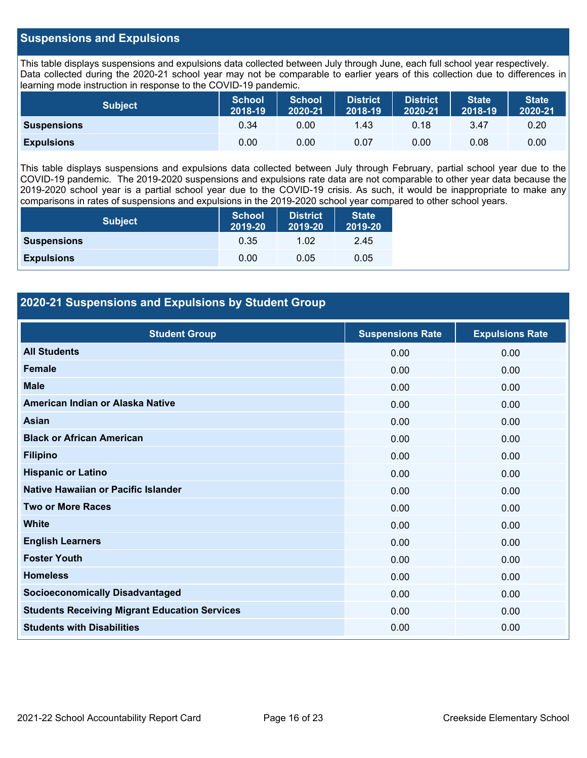## **Suspensions and Expulsions**

This table displays suspensions and expulsions data collected between July through June, each full school year respectively. Data collected during the 2020-21 school year may not be comparable to earlier years of this collection due to differences in learning mode instruction in response to the COVID-19 pandemic.

| <b>Subject</b>     | <b>School</b><br>2018-19 | <b>School</b><br>2020-21 | <b>District</b><br>2018-19 | <b>District</b><br>2020-21 | <b>State</b><br>2018-19 | <b>State</b><br>2020-21 |
|--------------------|--------------------------|--------------------------|----------------------------|----------------------------|-------------------------|-------------------------|
| <b>Suspensions</b> | 0.34                     | 0.00                     | 1.43                       | 0.18                       | 3.47                    | 0.20                    |
| <b>Expulsions</b>  | 0.00                     | 0.00                     | 0.07                       | 0.00                       | 0.08                    | 0.00                    |

This table displays suspensions and expulsions data collected between July through February, partial school year due to the COVID-19 pandemic. The 2019-2020 suspensions and expulsions rate data are not comparable to other year data because the 2019-2020 school year is a partial school year due to the COVID-19 crisis. As such, it would be inappropriate to make any comparisons in rates of suspensions and expulsions in the 2019-2020 school year compared to other school years.

| <b>Subject</b>     | <b>School</b><br>2019-20 | <b>District</b><br>2019-20 | <b>State</b><br>2019-20 |
|--------------------|--------------------------|----------------------------|-------------------------|
| <b>Suspensions</b> | 0.35                     | 1.02                       | 2.45                    |
| <b>Expulsions</b>  | 0.00                     | 0.05                       | 0.05                    |

## **2020-21 Suspensions and Expulsions by Student Group**

| <b>Student Group</b>                                 | <b>Suspensions Rate</b> | <b>Expulsions Rate</b> |
|------------------------------------------------------|-------------------------|------------------------|
| <b>All Students</b>                                  | 0.00                    | 0.00                   |
| <b>Female</b>                                        | 0.00                    | 0.00                   |
| <b>Male</b>                                          | 0.00                    | 0.00                   |
| American Indian or Alaska Native                     | 0.00                    | 0.00                   |
| Asian                                                | 0.00                    | 0.00                   |
| <b>Black or African American</b>                     | 0.00                    | 0.00                   |
| <b>Filipino</b>                                      | 0.00                    | 0.00                   |
| <b>Hispanic or Latino</b>                            | 0.00                    | 0.00                   |
| Native Hawaiian or Pacific Islander                  | 0.00                    | 0.00                   |
| <b>Two or More Races</b>                             | 0.00                    | 0.00                   |
| <b>White</b>                                         | 0.00                    | 0.00                   |
| <b>English Learners</b>                              | 0.00                    | 0.00                   |
| <b>Foster Youth</b>                                  | 0.00                    | 0.00                   |
| <b>Homeless</b>                                      | 0.00                    | 0.00                   |
| <b>Socioeconomically Disadvantaged</b>               | 0.00                    | 0.00                   |
| <b>Students Receiving Migrant Education Services</b> | 0.00                    | 0.00                   |
| <b>Students with Disabilities</b>                    | 0.00                    | 0.00                   |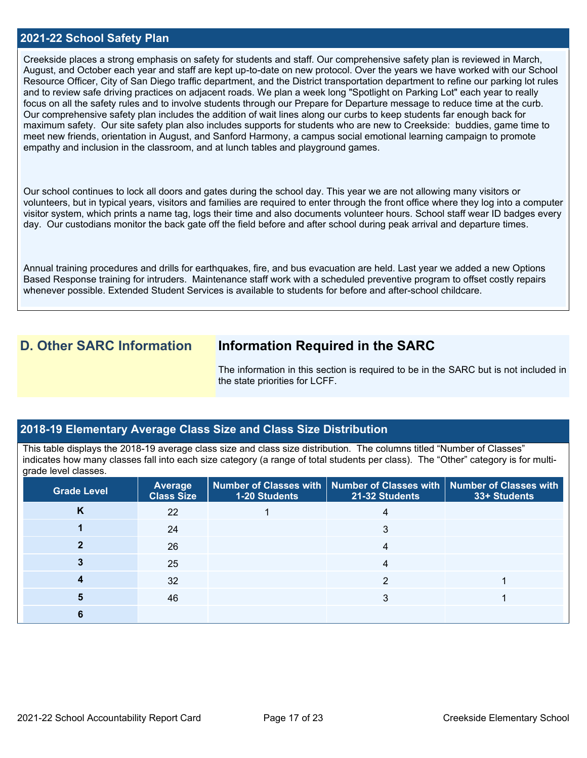### **2021-22 School Safety Plan**

Creekside places a strong emphasis on safety for students and staff. Our comprehensive safety plan is reviewed in March, August, and October each year and staff are kept up-to-date on new protocol. Over the years we have worked with our School Resource Officer, City of San Diego traffic department, and the District transportation department to refine our parking lot rules and to review safe driving practices on adjacent roads. We plan a week long "Spotlight on Parking Lot" each year to really focus on all the safety rules and to involve students through our Prepare for Departure message to reduce time at the curb. Our comprehensive safety plan includes the addition of wait lines along our curbs to keep students far enough back for maximum safety. Our site safety plan also includes supports for students who are new to Creekside: buddies, game time to meet new friends, orientation in August, and Sanford Harmony, a campus social emotional learning campaign to promote empathy and inclusion in the classroom, and at lunch tables and playground games.

Our school continues to lock all doors and gates during the school day. This year we are not allowing many visitors or volunteers, but in typical years, visitors and families are required to enter through the front office where they log into a computer visitor system, which prints a name tag, logs their time and also documents volunteer hours. School staff wear ID badges every day. Our custodians monitor the back gate off the field before and after school during peak arrival and departure times.

Annual training procedures and drills for earthquakes, fire, and bus evacuation are held. Last year we added a new Options Based Response training for intruders. Maintenance staff work with a scheduled preventive program to offset costly repairs whenever possible. Extended Student Services is available to students for before and after-school childcare.

**D. Other SARC Information Information Required in the SARC**

The information in this section is required to be in the SARC but is not included in the state priorities for LCFF.

### **2018-19 Elementary Average Class Size and Class Size Distribution**

This table displays the 2018-19 average class size and class size distribution. The columns titled "Number of Classes" indicates how many classes fall into each size category (a range of total students per class). The "Other" category is for multigrade level classes.

| <b>Grade Level</b> | <b>Average</b><br><b>Class Size</b> | 1-20 Students | Number of Classes with   Number of Classes with   Number of Classes with<br>21-32 Students | 33+ Students |
|--------------------|-------------------------------------|---------------|--------------------------------------------------------------------------------------------|--------------|
| K                  | 22                                  |               |                                                                                            |              |
|                    | 24                                  |               | 3                                                                                          |              |
|                    | 26                                  |               |                                                                                            |              |
|                    | 25                                  |               |                                                                                            |              |
|                    | 32                                  |               |                                                                                            |              |
|                    | 46                                  |               |                                                                                            |              |
|                    |                                     |               |                                                                                            |              |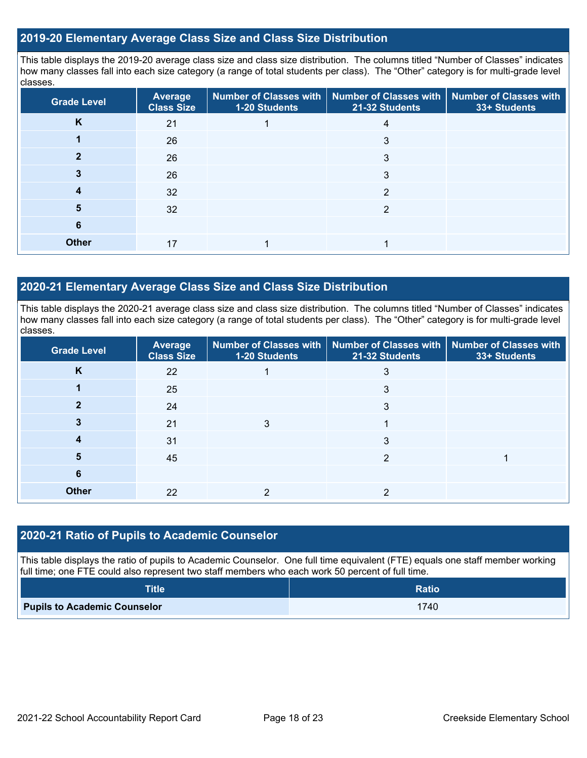## **2019-20 Elementary Average Class Size and Class Size Distribution**

This table displays the 2019-20 average class size and class size distribution. The columns titled "Number of Classes" indicates how many classes fall into each size category (a range of total students per class). The "Other" category is for multi-grade level classes.

| <b>Grade Level</b> | <b>Average</b><br><b>Class Size</b> | 1-20 Students | Number of Classes with   Number of Classes with  <br>21-32 Students | <b>Number of Classes with</b><br>33+ Students |
|--------------------|-------------------------------------|---------------|---------------------------------------------------------------------|-----------------------------------------------|
| K                  | 21                                  |               |                                                                     |                                               |
|                    | 26                                  |               | 3                                                                   |                                               |
|                    | 26                                  |               | 3                                                                   |                                               |
|                    | 26                                  |               | 3                                                                   |                                               |
|                    | 32                                  |               | 2                                                                   |                                               |
| 5                  | 32                                  |               | っ                                                                   |                                               |
| 6                  |                                     |               |                                                                     |                                               |
| <b>Other</b>       | 17                                  |               |                                                                     |                                               |

## **2020-21 Elementary Average Class Size and Class Size Distribution**

This table displays the 2020-21 average class size and class size distribution. The columns titled "Number of Classes" indicates how many classes fall into each size category (a range of total students per class). The "Other" category is for multi-grade level classes.

| <b>Grade Level</b> | Average<br><b>Class Size</b> | 1-20 Students | Number of Classes with   Number of Classes with   Number of Classes with<br>21-32 Students | 33+ Students |
|--------------------|------------------------------|---------------|--------------------------------------------------------------------------------------------|--------------|
| K                  | 22                           |               |                                                                                            |              |
|                    | 25                           |               | 3                                                                                          |              |
|                    | 24                           |               | 3                                                                                          |              |
|                    | 21                           | 3             |                                                                                            |              |
|                    | 31                           |               | 3                                                                                          |              |
| Ð                  | 45                           |               | っ                                                                                          |              |
| 6                  |                              |               |                                                                                            |              |
| <b>Other</b>       | 22                           |               |                                                                                            |              |

### **2020-21 Ratio of Pupils to Academic Counselor**

This table displays the ratio of pupils to Academic Counselor. One full time equivalent (FTE) equals one staff member working full time; one FTE could also represent two staff members who each work 50 percent of full time.

| <b>Title</b>                        | <b>Ratio</b> |
|-------------------------------------|--------------|
| <b>Pupils to Academic Counselor</b> | 1740         |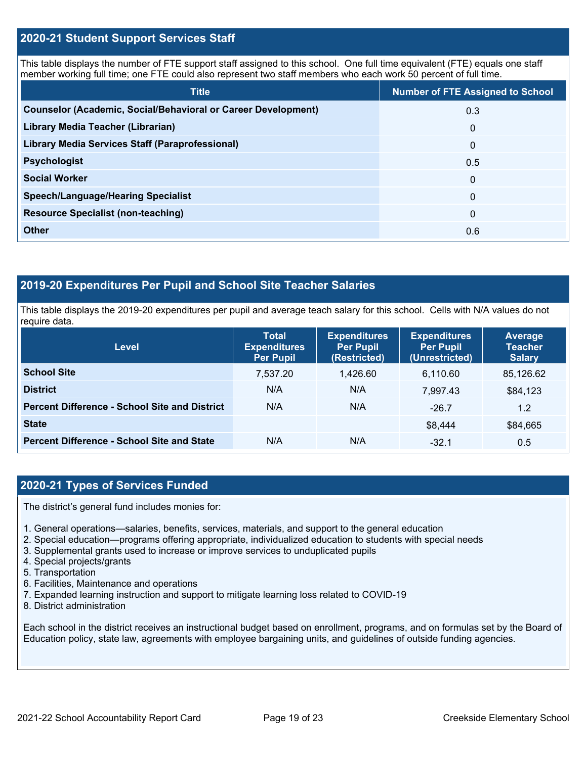## **2020-21 Student Support Services Staff**

This table displays the number of FTE support staff assigned to this school. One full time equivalent (FTE) equals one staff member working full time; one FTE could also represent two staff members who each work 50 percent of full time.

| <b>Title</b>                                                         | <b>Number of FTE Assigned to School</b> |
|----------------------------------------------------------------------|-----------------------------------------|
| <b>Counselor (Academic, Social/Behavioral or Career Development)</b> | 0.3                                     |
| Library Media Teacher (Librarian)                                    | $\mathbf{0}$                            |
| <b>Library Media Services Staff (Paraprofessional)</b>               | $\mathbf{0}$                            |
| <b>Psychologist</b>                                                  | 0.5                                     |
| <b>Social Worker</b>                                                 | $\mathbf{0}$                            |
| <b>Speech/Language/Hearing Specialist</b>                            | $\Omega$                                |
| <b>Resource Specialist (non-teaching)</b>                            | $\mathbf{0}$                            |
| <b>Other</b>                                                         | 0.6                                     |

## **2019-20 Expenditures Per Pupil and School Site Teacher Salaries**

This table displays the 2019-20 expenditures per pupil and average teach salary for this school. Cells with N/A values do not require data.

| Level                                                | <b>Total</b><br><b>Expenditures</b><br><b>Per Pupil</b> | <b>Expenditures</b><br><b>Per Pupil</b><br>(Restricted) | <b>Expenditures</b><br><b>Per Pupil</b><br>(Unrestricted) | Average<br><b>Teacher</b><br><b>Salary</b> |
|------------------------------------------------------|---------------------------------------------------------|---------------------------------------------------------|-----------------------------------------------------------|--------------------------------------------|
| <b>School Site</b>                                   | 7,537.20                                                | 1,426.60                                                | 6,110.60                                                  | 85,126.62                                  |
| <b>District</b>                                      | N/A                                                     | N/A                                                     | 7.997.43                                                  | \$84,123                                   |
| <b>Percent Difference - School Site and District</b> | N/A                                                     | N/A                                                     | $-26.7$                                                   | 1.2                                        |
| <b>State</b>                                         |                                                         |                                                         | \$8,444                                                   | \$84,665                                   |
| <b>Percent Difference - School Site and State</b>    | N/A                                                     | N/A                                                     | $-32.1$                                                   | 0.5                                        |

## **2020-21 Types of Services Funded**

The district's general fund includes monies for:

- 1. General operations—salaries, benefits, services, materials, and support to the general education
- 2. Special education—programs offering appropriate, individualized education to students with special needs
- 3. Supplemental grants used to increase or improve services to unduplicated pupils
- 4. Special projects/grants
- 5. Transportation
- 6. Facilities, Maintenance and operations
- 7. Expanded learning instruction and support to mitigate learning loss related to COVID-19
- 8. District administration

Each school in the district receives an instructional budget based on enrollment, programs, and on formulas set by the Board of Education policy, state law, agreements with employee bargaining units, and guidelines of outside funding agencies.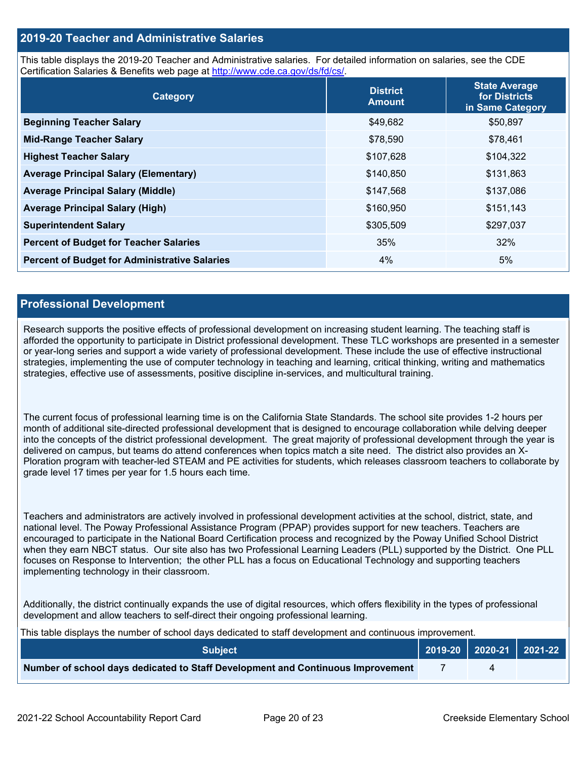## **2019-20 Teacher and Administrative Salaries**

This table displays the 2019-20 Teacher and Administrative salaries. For detailed information on salaries, see the CDE Certification Salaries & Benefits web page at [http://www.cde.ca.gov/ds/fd/cs/.](http://www.cde.ca.gov/ds/fd/cs/)

| Category                                             | <b>District</b><br><b>Amount</b> | <b>State Average</b><br>for Districts<br>in Same Category |
|------------------------------------------------------|----------------------------------|-----------------------------------------------------------|
| <b>Beginning Teacher Salary</b>                      | \$49,682                         | \$50,897                                                  |
| <b>Mid-Range Teacher Salary</b>                      | \$78,590                         | \$78,461                                                  |
| <b>Highest Teacher Salary</b>                        | \$107,628                        | \$104,322                                                 |
| <b>Average Principal Salary (Elementary)</b>         | \$140,850                        | \$131,863                                                 |
| <b>Average Principal Salary (Middle)</b>             | \$147,568                        | \$137,086                                                 |
| <b>Average Principal Salary (High)</b>               | \$160,950                        | \$151,143                                                 |
| <b>Superintendent Salary</b>                         | \$305,509                        | \$297,037                                                 |
| <b>Percent of Budget for Teacher Salaries</b>        | 35%                              | 32%                                                       |
| <b>Percent of Budget for Administrative Salaries</b> | 4%                               | 5%                                                        |

### **Professional Development**

Research supports the positive effects of professional development on increasing student learning. The teaching staff is afforded the opportunity to participate in District professional development. These TLC workshops are presented in a semester or year-long series and support a wide variety of professional development. These include the use of effective instructional strategies, implementing the use of computer technology in teaching and learning, critical thinking, writing and mathematics strategies, effective use of assessments, positive discipline in-services, and multicultural training.

The current focus of professional learning time is on the California State Standards. The school site provides 1-2 hours per month of additional site-directed professional development that is designed to encourage collaboration while delving deeper into the concepts of the district professional development. The great majority of professional development through the year is delivered on campus, but teams do attend conferences when topics match a site need. The district also provides an X-Ploration program with teacher-led STEAM and PE activities for students, which releases classroom teachers to collaborate by grade level 17 times per year for 1.5 hours each time.

Teachers and administrators are actively involved in professional development activities at the school, district, state, and national level. The Poway Professional Assistance Program (PPAP) provides support for new teachers. Teachers are encouraged to participate in the National Board Certification process and recognized by the Poway Unified School District when they earn NBCT status. Our site also has two Professional Learning Leaders (PLL) supported by the District. One PLL focuses on Response to Intervention; the other PLL has a focus on Educational Technology and supporting teachers implementing technology in their classroom.

Additionally, the district continually expands the use of digital resources, which offers flexibility in the types of professional development and allow teachers to self-direct their ongoing professional learning.

|  | This table displays the number of school days dedicated to staff development and continuous improvement. |  |
|--|----------------------------------------------------------------------------------------------------------|--|
|  |                                                                                                          |  |

| <b>Subiect</b> \                                                                |  |  |
|---------------------------------------------------------------------------------|--|--|
| Number of school days dedicated to Staff Development and Continuous Improvement |  |  |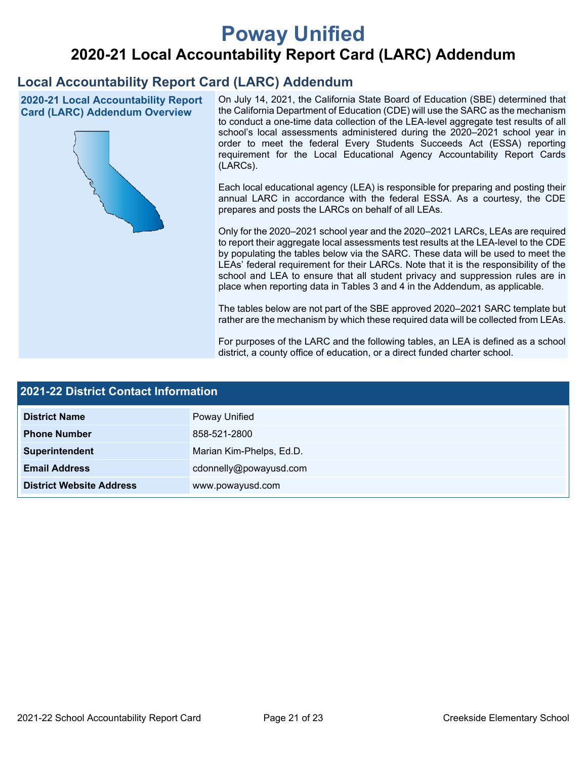# **Poway Unified**

# **2020-21 Local Accountability Report Card (LARC) Addendum**

## **Local Accountability Report Card (LARC) Addendum**

**2020-21 Local Accountability Report Card (LARC) Addendum Overview**



On July 14, 2021, the California State Board of Education (SBE) determined that the California Department of Education (CDE) will use the SARC as the mechanism to conduct a one-time data collection of the LEA-level aggregate test results of all school's local assessments administered during the 2020–2021 school year in order to meet the federal Every Students Succeeds Act (ESSA) reporting requirement for the Local Educational Agency Accountability Report Cards (LARCs).

Each local educational agency (LEA) is responsible for preparing and posting their annual LARC in accordance with the federal ESSA. As a courtesy, the CDE prepares and posts the LARCs on behalf of all LEAs.

Only for the 2020–2021 school year and the 2020–2021 LARCs, LEAs are required to report their aggregate local assessments test results at the LEA-level to the CDE by populating the tables below via the SARC. These data will be used to meet the LEAs' federal requirement for their LARCs. Note that it is the responsibility of the school and LEA to ensure that all student privacy and suppression rules are in place when reporting data in Tables 3 and 4 in the Addendum, as applicable.

The tables below are not part of the SBE approved 2020–2021 SARC template but rather are the mechanism by which these required data will be collected from LEAs.

For purposes of the LARC and the following tables, an LEA is defined as a school district, a county office of education, or a direct funded charter school.

| <b>2021-22 District Contact Information</b> |                          |  |  |  |
|---------------------------------------------|--------------------------|--|--|--|
| <b>District Name</b>                        | Poway Unified            |  |  |  |
| <b>Phone Number</b>                         | 858-521-2800             |  |  |  |
| Superintendent                              | Marian Kim-Phelps, Ed.D. |  |  |  |
| <b>Email Address</b>                        | cdonnelly@powayusd.com   |  |  |  |
| <b>District Website Address</b>             | www.powayusd.com         |  |  |  |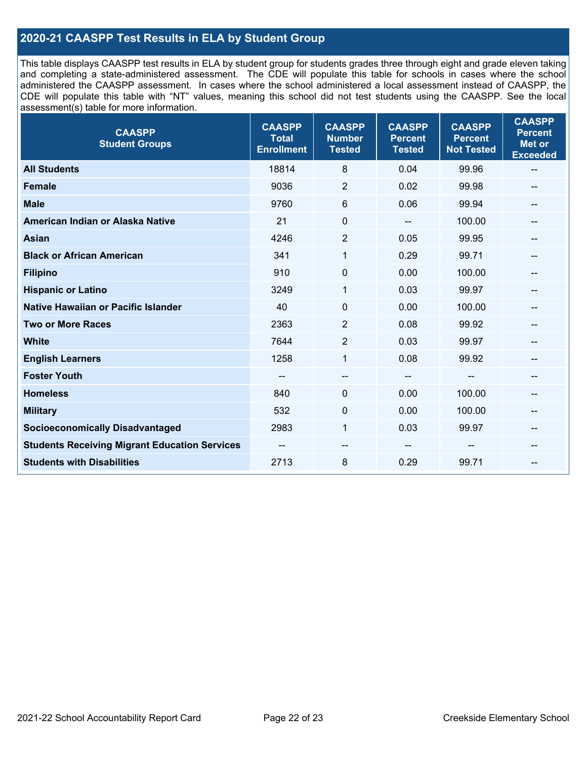## **2020-21 CAASPP Test Results in ELA by Student Group**

This table displays CAASPP test results in ELA by student group for students grades three through eight and grade eleven taking and completing a state-administered assessment. The CDE will populate this table for schools in cases where the school administered the CAASPP assessment. In cases where the school administered a local assessment instead of CAASPP, the CDE will populate this table with "NT" values, meaning this school did not test students using the CAASPP. See the local assessment(s) table for more information.

| <b>CAASPP</b><br><b>Student Groups</b>               | <b>CAASPP</b><br><b>Total</b><br><b>Enrollment</b> | <b>CAASPP</b><br><b>Number</b><br><b>Tested</b> | <b>CAASPP</b><br><b>Percent</b><br><b>Tested</b> | <b>CAASPP</b><br><b>Percent</b><br><b>Not Tested</b> | <b>CAASPP</b><br><b>Percent</b><br><b>Met or</b><br><b>Exceeded</b> |
|------------------------------------------------------|----------------------------------------------------|-------------------------------------------------|--------------------------------------------------|------------------------------------------------------|---------------------------------------------------------------------|
| <b>All Students</b>                                  | 18814                                              | 8                                               | 0.04                                             | 99.96                                                | $\qquad \qquad -$                                                   |
| <b>Female</b>                                        | 9036                                               | $\overline{2}$                                  | 0.02                                             | 99.98                                                | --                                                                  |
| <b>Male</b>                                          | 9760                                               | 6                                               | 0.06                                             | 99.94                                                | --                                                                  |
| American Indian or Alaska Native                     | 21                                                 | $\mathbf 0$                                     | $\qquad \qquad \blacksquare$                     | 100.00                                               | --                                                                  |
| <b>Asian</b>                                         | 4246                                               | $\overline{2}$                                  | 0.05                                             | 99.95                                                |                                                                     |
| <b>Black or African American</b>                     | 341                                                | 1                                               | 0.29                                             | 99.71                                                | --                                                                  |
| <b>Filipino</b>                                      | 910                                                | $\mathbf 0$                                     | 0.00                                             | 100.00                                               | --                                                                  |
| <b>Hispanic or Latino</b>                            | 3249                                               | 1                                               | 0.03                                             | 99.97                                                | --                                                                  |
| Native Hawaiian or Pacific Islander                  | 40                                                 | $\pmb{0}$                                       | 0.00                                             | 100.00                                               | --                                                                  |
| <b>Two or More Races</b>                             | 2363                                               | $\overline{2}$                                  | 0.08                                             | 99.92                                                |                                                                     |
| <b>White</b>                                         | 7644                                               | $\overline{2}$                                  | 0.03                                             | 99.97                                                | $\overline{\phantom{m}}$                                            |
| <b>English Learners</b>                              | 1258                                               | $\mathbf{1}$                                    | 0.08                                             | 99.92                                                |                                                                     |
| <b>Foster Youth</b>                                  |                                                    | $\qquad \qquad -$                               | --                                               | --                                                   | --                                                                  |
| <b>Homeless</b>                                      | 840                                                | $\mathbf 0$                                     | 0.00                                             | 100.00                                               | --                                                                  |
| <b>Military</b>                                      | 532                                                | $\pmb{0}$                                       | 0.00                                             | 100.00                                               | --                                                                  |
| <b>Socioeconomically Disadvantaged</b>               | 2983                                               | $\mathbf{1}$                                    | 0.03                                             | 99.97                                                | $\overline{\phantom{m}}$                                            |
| <b>Students Receiving Migrant Education Services</b> |                                                    | --                                              |                                                  |                                                      | --                                                                  |
| <b>Students with Disabilities</b>                    | 2713                                               | 8                                               | 0.29                                             | 99.71                                                | --                                                                  |